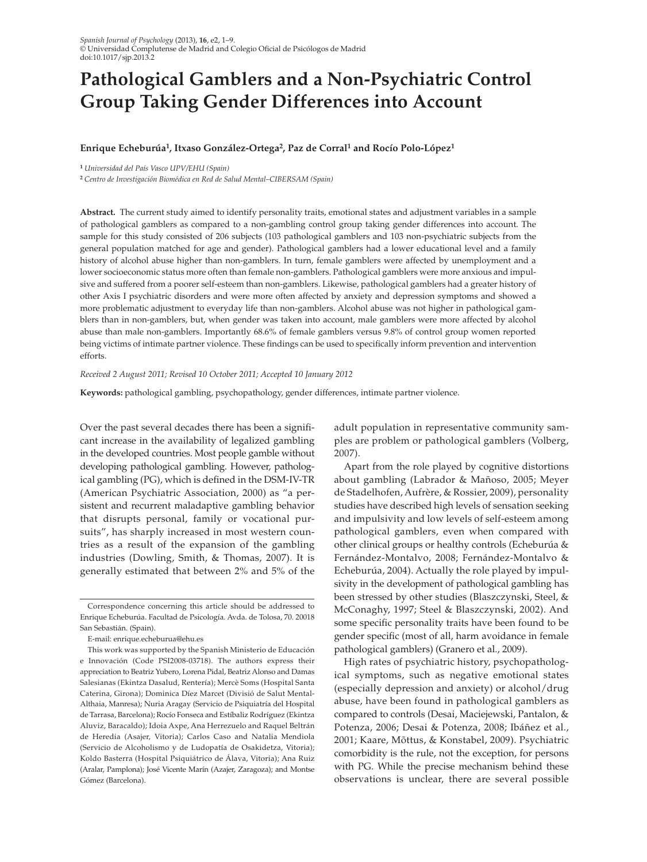# **Pathological Gamblers and a Non-Psychiatric Control Group Taking Gender Differences into Account**

## **Enrique Echeburúa1, Itxaso González-Ortega2, Paz de Corral1 and Rocío Polo-López1**

**<sup>1</sup>** *Universidad del País Vasco UPV/EHU (Spain)*

**<sup>2</sup>** *Centro de Investigación Biomédica en Red de Salud Mental–CIBERSAM (Spain)*

**Abstract.** The current study aimed to identify personality traits, emotional states and adjustment variables in a sample of pathological gamblers as compared to a non-gambling control group taking gender differences into account. The sample for this study consisted of 206 subjects (103 pathological gamblers and 103 non-psychiatric subjects from the general population matched for age and gender). Pathological gamblers had a lower educational level and a family history of alcohol abuse higher than non-gamblers. In turn, female gamblers were affected by unemployment and a lower socioeconomic status more often than female non-gamblers. Pathological gamblers were more anxious and impulsive and suffered from a poorer self-esteem than non-gamblers. Likewise, pathological gamblers had a greater history of other Axis I psychiatric disorders and were more often affected by anxiety and depression symptoms and showed a more problematic adjustment to everyday life than non-gamblers. Alcohol abuse was not higher in pathological gamblers than in non-gamblers, but, when gender was taken into account, male gamblers were more affected by alcohol abuse than male non-gamblers. Importantly 68.6% of female gamblers versus 9.8% of control group women reported being victims of intimate partner violence. These findings can be used to specifically inform prevention and intervention efforts.

#### *Received 2 August 2011; Revised 10 October 2011; Accepted 10 January 2012*

**Keywords:** pathological gambling, psychopathology, gender differences, intimate partner violence.

Over the past several decades there has been a significant increase in the availability of legalized gambling in the developed countries. Most people gamble without developing pathological gambling. However, pathological gambling (PG), which is defined in the DSM-IV-TR (American Psychiatric Association, 2000) as "a persistent and recurrent maladaptive gambling behavior that disrupts personal, family or vocational pursuits", has sharply increased in most western countries as a result of the expansion of the gambling industries (Dowling, Smith, & Thomas, 2007). It is generally estimated that between 2% and 5% of the adult population in representative community samples are problem or pathological gamblers (Volberg, 2007).

Apart from the role played by cognitive distortions about gambling (Labrador & Mañoso, 2005; Meyer de Stadelhofen, Aufrère, & Rossier, 2009), personality studies have described high levels of sensation seeking and impulsivity and low levels of self-esteem among pathological gamblers, even when compared with other clinical groups or healthy controls (Echeburúa & Fernández-Montalvo, 2008; Fernández-Montalvo & Echeburúa, 2004). Actually the role played by impulsivity in the development of pathological gambling has been stressed by other studies (Blaszczynski, Steel, & McConaghy, 1997; Steel & Blaszczynski, 2002). And some specific personality traits have been found to be gender specific (most of all, harm avoidance in female pathological gamblers) (Granero et al., 2009).

High rates of psychiatric history, psychopathological symptoms, such as negative emotional states (especially depression and anxiety) or alcohol/drug abuse, have been found in pathological gamblers as compared to controls (Desai, Maciejewski, Pantalon, & Potenza, 2006; Desai & Potenza, 2008; Ibáñez et al., 2001; Kaare, Mõttus, & Konstabel, 2009). Psychiatric comorbidity is the rule, not the exception, for persons with PG. While the precise mechanism behind these observations is unclear, there are several possible

Correspondence concerning this article should be addressed to Enrique Echeburúa. Facultad de Psicología. Avda. de Tolosa, 70. 20018 San Sebastián. (Spain).

E-mail: [enrique.echeburua@ehu.es](mailto:enrique.echeburua@ehu.es)

This work was supported by the Spanish Ministerio de Educación e Innovación (Code PSI2008-03718). The authors express their appreciation to Beatriz Yubero, Lorena Pidal, Beatriz Alonso and Damas Salesianas (Ekintza Dasalud, Rentería); Mercè Soms (Hospital Santa Caterina, Girona); Dominica Díez Marcet (Divisió de Salut Mental-Althaia, Manresa); Nuria Aragay (Servicio de Psiquiatría del Hospital de Tarrasa, Barcelona); Rocío Fonseca and Estíbaliz Rodríguez (Ekintza Aluviz, Baracaldo); Idoia Axpe, Ana Herrezuelo and Raquel Beltrán de Heredia (Asajer, Vitoria); Carlos Caso and Natalia Mendiola (Servicio de Alcoholismo y de Ludopatía de Osakidetza, Vitoria); Koldo Basterra (Hospital Psiquiátrico de Álava, Vitoria); Ana Ruiz (Aralar, Pamplona); José Vicente Marín (Azajer, Zaragoza); and Montse Gómez (Barcelona).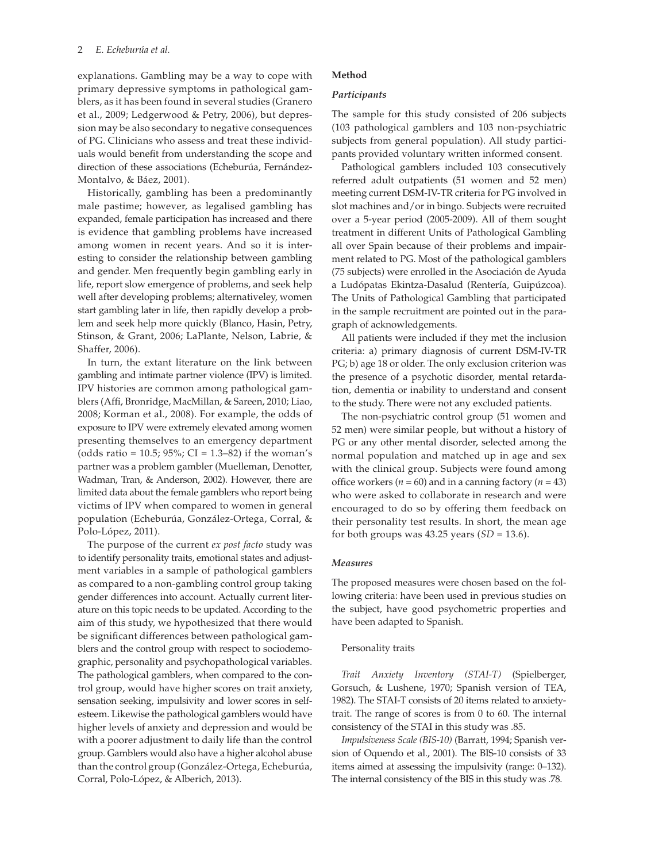explanations. Gambling may be a way to cope with primary depressive symptoms in pathological gamblers, as it has been found in several studies (Granero et al., 2009; Ledgerwood & Petry, 2006), but depression may be also secondary to negative consequences of PG. Clinicians who assess and treat these individuals would benefit from understanding the scope and direction of these associations (Echeburúa, Fernández-Montalvo, & Báez, 2001).

Historically, gambling has been a predominantly male pastime; however, as legalised gambling has expanded, female participation has increased and there is evidence that gambling problems have increased among women in recent years. And so it is interesting to consider the relationship between gambling and gender. Men frequently begin gambling early in life, report slow emergence of problems, and seek help well after developing problems; alternativeley, women start gambling later in life, then rapidly develop a problem and seek help more quickly (Blanco, Hasin, Petry, Stinson, & Grant, 2006; LaPlante, Nelson, Labrie, & Shaffer, 2006).

In turn, the extant literature on the link between gambling and intimate partner violence (IPV) is limited. IPV histories are common among pathological gamblers (Affi, Bronridge, MacMillan, & Sareen, 2010; Liao, 2008; Korman et al., 2008). For example, the odds of exposure to IPV were extremely elevated among women presenting themselves to an emergency department (odds ratio =  $10.5$ ;  $95\%$ ; CI =  $1.3-82$ ) if the woman's partner was a problem gambler (Muelleman, Denotter, Wadman, Tran, & Anderson, 2002). However, there are limited data about the female gamblers who report being victims of IPV when compared to women in general population (Echeburúa, González-Ortega, Corral, & Polo-López, 2011).

The purpose of the current *ex post facto* study was to identify personality traits, emotional states and adjustment variables in a sample of pathological gamblers as compared to a non-gambling control group taking gender differences into account. Actually current literature on this topic needs to be updated. According to the aim of this study, we hypothesized that there would be significant differences between pathological gamblers and the control group with respect to sociodemographic, personality and psychopathological variables. The pathological gamblers, when compared to the control group, would have higher scores on trait anxiety, sensation seeking, impulsivity and lower scores in selfesteem. Likewise the pathological gamblers would have higher levels of anxiety and depression and would be with a poorer adjustment to daily life than the control group. Gamblers would also have a higher alcohol abuse than the control group (González-Ortega, Echeburúa, Corral, Polo-López, & Alberich, 2013).

## **Method**

#### *Participants*

The sample for this study consisted of 206 subjects (103 pathological gamblers and 103 non-psychiatric subjects from general population). All study participants provided voluntary written informed consent.

Pathological gamblers included 103 consecutively referred adult outpatients (51 women and 52 men) meeting current DSM-IV-TR criteria for PG involved in slot machines and/or in bingo. Subjects were recruited over a 5-year period (2005-2009). All of them sought treatment in different Units of Pathological Gambling all over Spain because of their problems and impairment related to PG. Most of the pathological gamblers (75 subjects) were enrolled in the Asociación de Ayuda a Ludópatas Ekintza-Dasalud (Rentería, Guipúzcoa). The Units of Pathological Gambling that participated in the sample recruitment are pointed out in the paragraph of acknowledgements.

All patients were included if they met the inclusion criteria: a) primary diagnosis of current DSM-IV-TR PG; b) age 18 or older. The only exclusion criterion was the presence of a psychotic disorder, mental retardation, dementia or inability to understand and consent to the study. There were not any excluded patients.

The non-psychiatric control group (51 women and 52 men) were similar people, but without a history of PG or any other mental disorder, selected among the normal population and matched up in age and sex with the clinical group. Subjects were found among office workers ( $n = 60$ ) and in a canning factory ( $n = 43$ ) who were asked to collaborate in research and were encouraged to do so by offering them feedback on their personality test results. In short, the mean age for both groups was 43.25 years (*SD =* 13.6).

# *Measures*

The proposed measures were chosen based on the following criteria: have been used in previous studies on the subject, have good psychometric properties and have been adapted to Spanish.

#### Personality traits

*Trait Anxiety Inventory (STAI-T)* (Spielberger, Gorsuch, & Lushene, 1970; Spanish version of TEA, 1982). The STAI-T consists of 20 items related to anxietytrait. The range of scores is from 0 to 60. The internal consistency of the STAI in this study was .85.

*Impulsiveness Scale (BIS-10)* (Barratt, 1994; Spanish version of Oquendo et al., 2001). The BIS-10 consists of 33 items aimed at assessing the impulsivity (range: 0–132). The internal consistency of the BIS in this study was .78.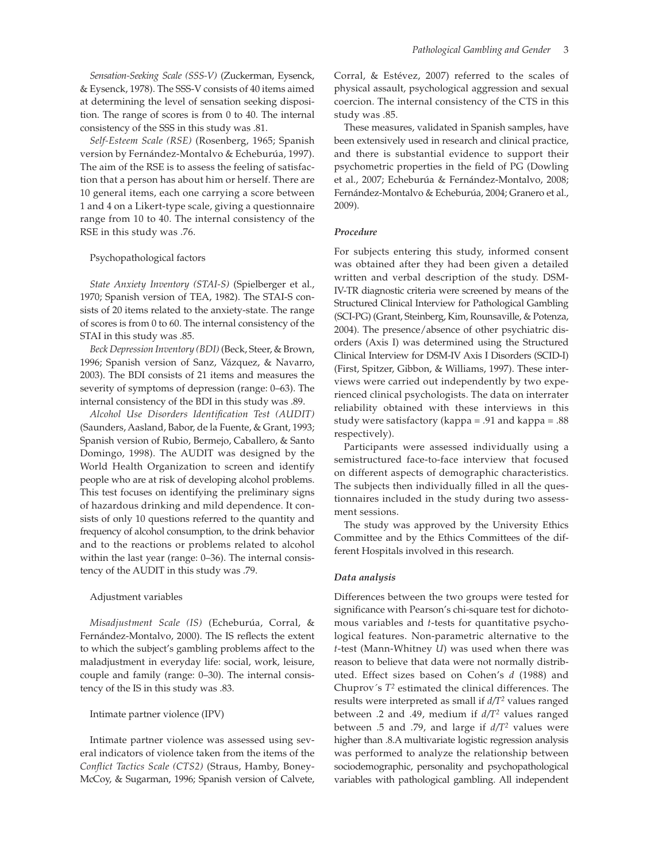*Sensation-Seeking Scale (SSS-V)* (Zuckerman, Eysenck, & Eysenck, 1978). The SSS-V consists of 40 items aimed at determining the level of sensation seeking disposition. The range of scores is from 0 to 40. The internal consistency of the SSS in this study was .81.

*Self-Esteem Scale (RSE)* (Rosenberg, 1965; Spanish version by Fernández-Montalvo & Echeburúa, 1997). The aim of the RSE is to assess the feeling of satisfaction that a person has about him or herself. There are 10 general items, each one carrying a score between 1 and 4 on a Likert-type scale, giving a questionnaire range from 10 to 40. The internal consistency of the RSE in this study was .76.

#### Psychopathological factors

*State Anxiety Inventory (STAI-S)* (Spielberger et al., 1970; Spanish version of TEA, 1982). The STAI-S consists of 20 items related to the anxiety-state. The range of scores is from 0 to 60. The internal consistency of the STAI in this study was .85.

*Beck Depression Inventory (BDI)* (Beck, Steer, & Brown, 1996; Spanish version of Sanz, Vázquez, & Navarro, 2003). The BDI consists of 21 items and measures the severity of symptoms of depression (range: 0–63). The internal consistency of the BDI in this study was .89.

*Alcohol Use Disorders Identification Test (AUDIT)* (Saunders, Aasland, Babor, de la Fuente, & Grant, 1993; Spanish version of Rubio, Bermejo, Caballero, & Santo Domingo, 1998). The AUDIT was designed by the World Health Organization to screen and identify people who are at risk of developing alcohol problems. This test focuses on identifying the preliminary signs of hazardous drinking and mild dependence. It consists of only 10 questions referred to the quantity and frequency of alcohol consumption, to the drink behavior and to the reactions or problems related to alcohol within the last year (range: 0–36). The internal consistency of the AUDIT in this study was .79.

#### Adjustment variables

*Misadjustment Scale (IS)* (Echeburúa, Corral, & Fernández-Montalvo, 2000). The IS reflects the extent to which the subject's gambling problems affect to the maladjustment in everyday life: social, work, leisure, couple and family (range: 0–30). The internal consistency of the IS in this study was .83.

## Intimate partner violence (IPV)

Intimate partner violence was assessed using several indicators of violence taken from the items of the *Conflict Tactics Scale (CTS2)* (Straus, Hamby, Boney-McCoy, & Sugarman, 1996; Spanish version of Calvete, Corral, & Estévez, 2007) referred to the scales of physical assault, psychological aggression and sexual coercion. The internal consistency of the CTS in this study was .85.

These measures, validated in Spanish samples, have been extensively used in research and clinical practice, and there is substantial evidence to support their psychometric properties in the field of PG (Dowling et al., 2007; Echeburúa & Fernández-Montalvo, 2008; Fernández-Montalvo & Echeburúa, 2004; Granero et al., 2009).

#### *Procedure*

For subjects entering this study, informed consent was obtained after they had been given a detailed written and verbal description of the study. DSM-IV-TR diagnostic criteria were screened by means of the Structured Clinical Interview for Pathological Gambling (SCI-PG) (Grant, Steinberg, Kim, Rounsaville, & Potenza, 2004). The presence/absence of other psychiatric disorders (Axis I) was determined using the Structured Clinical Interview for DSM-IV Axis I Disorders (SCID-I) (First, Spitzer, Gibbon, & Williams, 1997). These interviews were carried out independently by two experienced clinical psychologists. The data on interrater reliability obtained with these interviews in this study were satisfactory (kappa = .91 and kappa = .88 respectively).

Participants were assessed individually using a semistructured face-to-face interview that focused on different aspects of demographic characteristics. The subjects then individually filled in all the questionnaires included in the study during two assessment sessions.

The study was approved by the University Ethics Committee and by the Ethics Committees of the different Hospitals involved in this research.

#### *Data analysis*

Differences between the two groups were tested for significance with Pearson's chi-square test for dichotomous variables and *t*-tests for quantitative psychological features. Non-parametric alternative to the *t*-test (Mann-Whitney *U*) was used when there was reason to believe that data were not normally distributed. Effect sizes based on Cohen's *d* (1988) and Chuprov´s *T2* estimated the clinical differences. The results were interpreted as small if *d/T2* values ranged between .2 and .49, medium if *d/T2* values ranged between .5 and .79, and large if *d/T2* values were higher than .8.A multivariate logistic regression analysis was performed to analyze the relationship between sociodemographic, personality and psychopathological variables with pathological gambling. All independent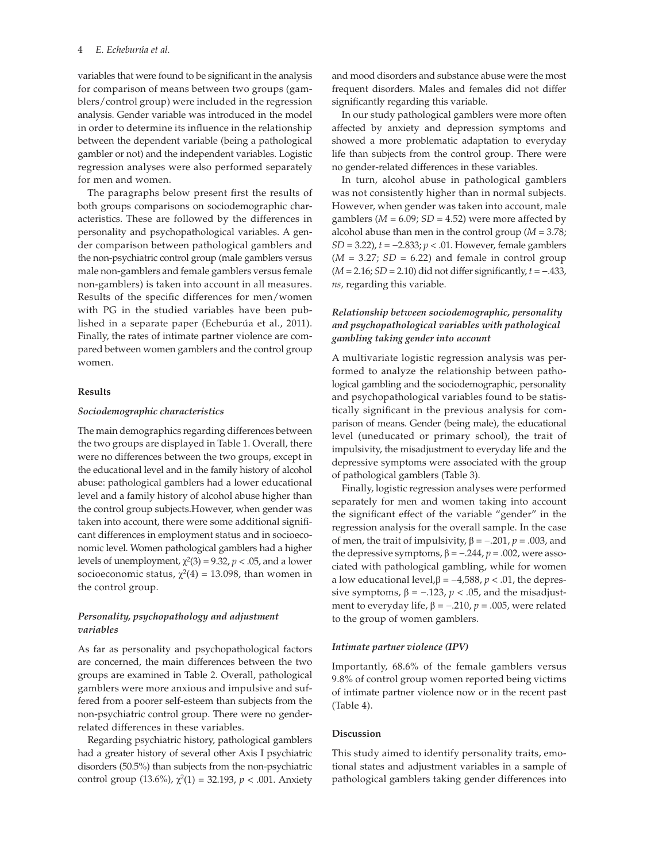variables that were found to be significant in the analysis for comparison of means between two groups (gamblers/control group) were included in the regression analysis. Gender variable was introduced in the model in order to determine its influence in the relationship between the dependent variable (being a pathological gambler or not) and the independent variables. Logistic regression analyses were also performed separately for men and women.

The paragraphs below present first the results of both groups comparisons on sociodemographic characteristics. These are followed by the differences in personality and psychopathological variables. A gender comparison between pathological gamblers and the non-psychiatric control group (male gamblers versus male non-gamblers and female gamblers versus female non-gamblers) is taken into account in all measures. Results of the specific differences for men/women with PG in the studied variables have been published in a separate paper (Echeburúa et al., 2011). Finally, the rates of intimate partner violence are compared between women gamblers and the control group women.

# **Results**

#### *Sociodemographic characteristics*

The main demographics regarding differences between the two groups are displayed in Table 1. Overall, there were no differences between the two groups, except in the educational level and in the family history of alcohol abuse: pathological gamblers had a lower educational level and a family history of alcohol abuse higher than the control group subjects.However, when gender was taken into account, there were some additional significant differences in employment status and in socioeconomic level. Women pathological gamblers had a higher levels of unemployment,  $\chi^2(3) = 9.32$ ,  $p < .05$ , and a lower socioeconomic status,  $\chi^2(4) = 13.098$ , than women in the control group.

# *Personality, psychopathology and adjustment variables*

As far as personality and psychopathological factors are concerned, the main differences between the two groups are examined in Table 2. Overall, pathological gamblers were more anxious and impulsive and suffered from a poorer self-esteem than subjects from the non-psychiatric control group. There were no genderrelated differences in these variables.

Regarding psychiatric history, pathological gamblers had a greater history of several other Axis I psychiatric disorders (50.5%) than subjects from the non-psychiatric control group (13.6%), χ2(1) = 32.193, *p* < .001. Anxiety and mood disorders and substance abuse were the most frequent disorders. Males and females did not differ significantly regarding this variable.

In our study pathological gamblers were more often affected by anxiety and depression symptoms and showed a more problematic adaptation to everyday life than subjects from the control group. There were no gender-related differences in these variables.

In turn, alcohol abuse in pathological gamblers was not consistently higher than in normal subjects. However, when gender was taken into account, male gamblers ( $M = 6.09$ ;  $SD = 4.52$ ) were more affected by alcohol abuse than men in the control group (*M* = 3.78; *SD* = 3.22), *t* = −2.833; *p* < .01. However, female gamblers  $(M = 3.27; SD = 6.22)$  and female in control group (*M* = 2.16; *SD* = 2.10) did not differ significantly, *t* = −.433, *ns,* regarding this variable.

# *Relationship between sociodemographic, personality and psychopathological variables with pathological gambling taking gender into account*

A multivariate logistic regression analysis was performed to analyze the relationship between pathological gambling and the sociodemographic, personality and psychopathological variables found to be statistically significant in the previous analysis for comparison of means. Gender (being male), the educational level (uneducated or primary school), the trait of impulsivity, the misadjustment to everyday life and the depressive symptoms were associated with the group of pathological gamblers (Table 3).

Finally, logistic regression analyses were performed separately for men and women taking into account the significant effect of the variable "gender" in the regression analysis for the overall sample. In the case of men, the trait of impulsivity,  $β = -.201, p = .003$ , and the depressive symptoms,  $β = -.244$ ,  $p = .002$ , were associated with pathological gambling, while for women a low educational level, $β = -4,588, p < .01$ , the depressive symptoms,  $β = −.123$ ,  $p < .05$ , and the misadjustment to everyday life,  $β = -.210, p = .005$ , were related to the group of women gamblers.

#### *Intimate partner violence (IPV)*

Importantly, 68.6% of the female gamblers versus 9.8% of control group women reported being victims of intimate partner violence now or in the recent past (Table 4).

# **Discussion**

This study aimed to identify personality traits, emotional states and adjustment variables in a sample of pathological gamblers taking gender differences into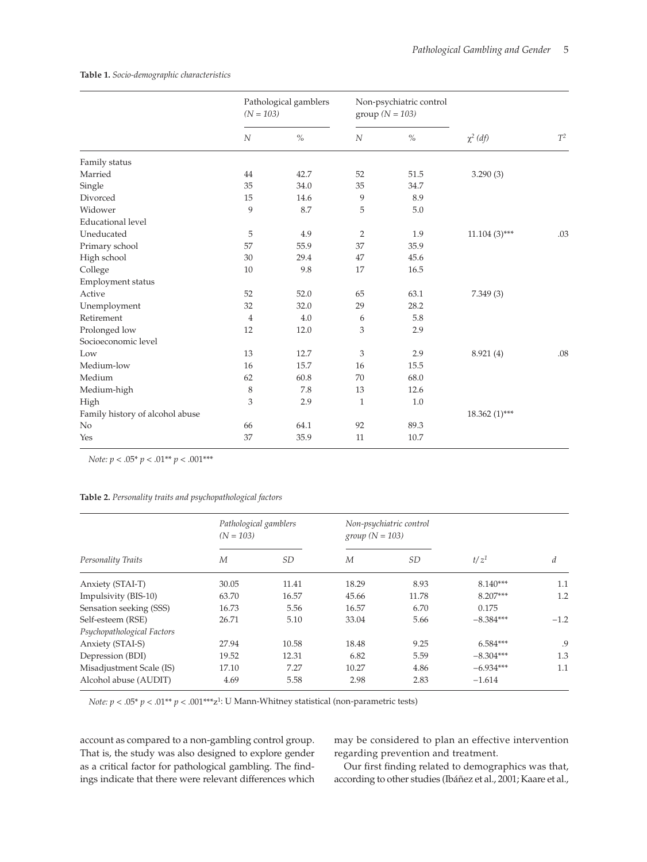**Table 1.** *Socio-demographic characteristics*

|                                 | Pathological gamblers<br>$(N = 103)$ |      | Non-psychiatric control<br>group $(N = 103)$ |      |                 |       |
|---------------------------------|--------------------------------------|------|----------------------------------------------|------|-----------------|-------|
|                                 | $\boldsymbol{N}$                     | $\%$ | $\boldsymbol{N}$                             | $\%$ | $\chi^2$ (df)   | $T^2$ |
| Family status                   |                                      |      |                                              |      |                 |       |
| Married                         | 44                                   | 42.7 | 52                                           | 51.5 | 3.290(3)        |       |
| Single                          | 35                                   | 34.0 | 35                                           | 34.7 |                 |       |
| Divorced                        | 15                                   | 14.6 | 9                                            | 8.9  |                 |       |
| Widower                         | 9                                    | 8.7  | 5                                            | 5.0  |                 |       |
| <b>Educational</b> level        |                                      |      |                                              |      |                 |       |
| Uneducated                      | 5                                    | 4.9  | $\overline{2}$                               | 1.9  | $11.104(3)$ *** | .03   |
| Primary school                  | 57                                   | 55.9 | 37                                           | 35.9 |                 |       |
| High school                     | 30                                   | 29.4 | 47                                           | 45.6 |                 |       |
| College                         | 10                                   | 9.8  | 17                                           | 16.5 |                 |       |
| Employment status               |                                      |      |                                              |      |                 |       |
| Active                          | 52                                   | 52.0 | 65                                           | 63.1 | 7.349(3)        |       |
| Unemployment                    | 32                                   | 32.0 | 29                                           | 28.2 |                 |       |
| Retirement                      | $\overline{4}$                       | 4.0  | 6                                            | 5.8  |                 |       |
| Prolonged low                   | 12                                   | 12.0 | 3                                            | 2.9  |                 |       |
| Socioeconomic level             |                                      |      |                                              |      |                 |       |
| Low                             | 13                                   | 12.7 | 3                                            | 2.9  | 8.921(4)        | .08   |
| Medium-low                      | 16                                   | 15.7 | 16                                           | 15.5 |                 |       |
| Medium                          | 62                                   | 60.8 | 70                                           | 68.0 |                 |       |
| Medium-high                     | 8                                    | 7.8  | 13                                           | 12.6 |                 |       |
| High                            | 3                                    | 2.9  | 1                                            | 1.0  |                 |       |
| Family history of alcohol abuse |                                      |      |                                              |      | $18.362(1)$ *** |       |
| No                              | 66                                   | 64.1 | 92                                           | 89.3 |                 |       |
| Yes                             | 37                                   | 35.9 | 11                                           | 10.7 |                 |       |

*Note: p* < .05\* *p* < .01\*\* *p* < .001\*\*\*

# **Table 2.** *Personality traits and psychopathological factors*

| Personality Traits         | Pathological gamblers<br>$(N = 103)$ |       | Non-psychiatric control<br>group $(N = 103)$ |       |                  |        |
|----------------------------|--------------------------------------|-------|----------------------------------------------|-------|------------------|--------|
|                            | М                                    | SD    | M                                            | SD    | t/z <sup>1</sup> | d      |
| Anxiety (STAI-T)           | 30.05                                | 11.41 | 18.29                                        | 8.93  | $8.140***$       | 1.1    |
| Impulsivity (BIS-10)       | 63.70                                | 16.57 | 45.66                                        | 11.78 | $8.207***$       | 1.2    |
| Sensation seeking (SSS)    | 16.73                                | 5.56  | 16.57                                        | 6.70  | 0.175            |        |
| Self-esteem (RSE)          | 26.71                                | 5.10  | 33.04                                        | 5.66  | $-8.384***$      | $-1.2$ |
| Psychopathological Factors |                                      |       |                                              |       |                  |        |
| Anxiety (STAI-S)           | 27.94                                | 10.58 | 18.48                                        | 9.25  | $6.584***$       | .9     |
| Depression (BDI)           | 19.52                                | 12.31 | 6.82                                         | 5.59  | $-8.304***$      | 1.3    |
| Misadjustment Scale (IS)   | 17.10                                | 7.27  | 10.27                                        | 4.86  | $-6.934***$      | 1.1    |
| Alcohol abuse (AUDIT)      | 4.69                                 | 5.58  | 2.98                                         | 2.83  | $-1.614$         |        |

 $Note: p < .05^{\ast}\,p < .01^{\ast\ast}\,p < .001^{\ast\ast\ast}\mathrm{z}^{1}$  : U Mann-Whitney statistical (non-parametric tests)

account as compared to a non-gambling control group. That is, the study was also designed to explore gender as a critical factor for pathological gambling. The findings indicate that there were relevant differences which may be considered to plan an effective intervention regarding prevention and treatment.

Our first finding related to demographics was that, according to other studies (Ibáñez et al., 2001; Kaare et al.,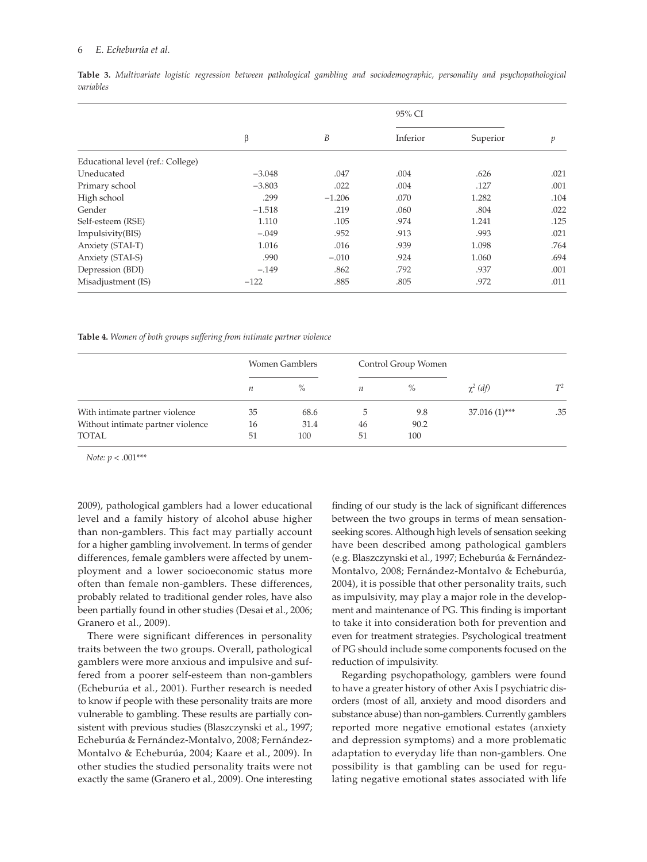#### 6 *E. Echeburúa et al.*

|                                   |          |          | 95% CI               |       | $\mathfrak p$ |
|-----------------------------------|----------|----------|----------------------|-------|---------------|
|                                   | β        | В        | Inferior<br>Superior |       |               |
| Educational level (ref.: College) |          |          |                      |       |               |
| Uneducated                        | $-3.048$ | .047     | .004                 | .626  | .021          |
| Primary school                    | $-3.803$ | .022     | .004                 | .127  | .001          |
| High school                       | .299     | $-1.206$ | .070                 | 1.282 | .104          |
| Gender                            | $-1.518$ | .219     | .060                 | .804  | .022          |
| Self-esteem (RSE)                 | 1.110    | .105     | .974                 | 1.241 | .125          |
| Impulsivity(BIS)                  | $-.049$  | .952     | .913                 | .993  | .021          |
| Anxiety (STAI-T)                  | 1.016    | .016     | .939                 | 1.098 | .764          |
| Anxiety (STAI-S)                  | .990     | $-.010$  | .924                 | 1.060 | .694          |
| Depression (BDI)                  | $-.149$  | .862     | .792                 | .937  | .001          |
| Misadjustment (IS)                | $-122$   | .885     | .805                 | .972  | .011          |

**Table 3.** *Multivariate logistic regression between pathological gambling and sociodemographic, personality and psychopathological variables*

**Table 4.** *Women of both groups suffering from intimate partner violence*

|                                   | Women Gamblers   |      | Control Group Women |      |                 |       |
|-----------------------------------|------------------|------|---------------------|------|-----------------|-------|
|                                   | $\boldsymbol{n}$ | $\%$ | п                   | $\%$ | $\chi^2$ (df)   | $T^2$ |
| With intimate partner violence    | 35               | 68.6 | h.                  | 9.8  | $37.016(1)$ *** | .35   |
| Without intimate partner violence | 16               | 31.4 | 46                  | 90.2 |                 |       |
| TOTAL                             | 51               | 100  | 51                  | 100  |                 |       |

*Note: p* < .001\*\*\*

2009), pathological gamblers had a lower educational level and a family history of alcohol abuse higher than non-gamblers. This fact may partially account for a higher gambling involvement. In terms of gender differences, female gamblers were affected by unemployment and a lower socioeconomic status more often than female non-gamblers. These differences, probably related to traditional gender roles, have also been partially found in other studies (Desai et al., 2006; Granero et al., 2009).

There were significant differences in personality traits between the two groups. Overall, pathological gamblers were more anxious and impulsive and suffered from a poorer self-esteem than non-gamblers (Echeburúa et al., 2001). Further research is needed to know if people with these personality traits are more vulnerable to gambling. These results are partially consistent with previous studies (Blaszczynski et al., 1997; Echeburúa & Fernández-Montalvo, 2008; Fernández-Montalvo & Echeburúa, 2004; Kaare et al., 2009). In other studies the studied personality traits were not exactly the same (Granero et al., 2009). One interesting finding of our study is the lack of significant differences between the two groups in terms of mean sensationseeking scores. Although high levels of sensation seeking have been described among pathological gamblers (e.g. Blaszczynski et al., 1997; Echeburúa & Fernández-Montalvo, 2008; Fernández-Montalvo & Echeburúa, 2004), it is possible that other personality traits, such as impulsivity, may play a major role in the development and maintenance of PG. This finding is important to take it into consideration both for prevention and even for treatment strategies. Psychological treatment of PG should include some components focused on the reduction of impulsivity.

Regarding psychopathology, gamblers were found to have a greater history of other Axis I psychiatric disorders (most of all, anxiety and mood disorders and substance abuse) than non-gamblers. Currently gamblers reported more negative emotional estates (anxiety and depression symptoms) and a more problematic adaptation to everyday life than non-gamblers. One possibility is that gambling can be used for regulating negative emotional states associated with life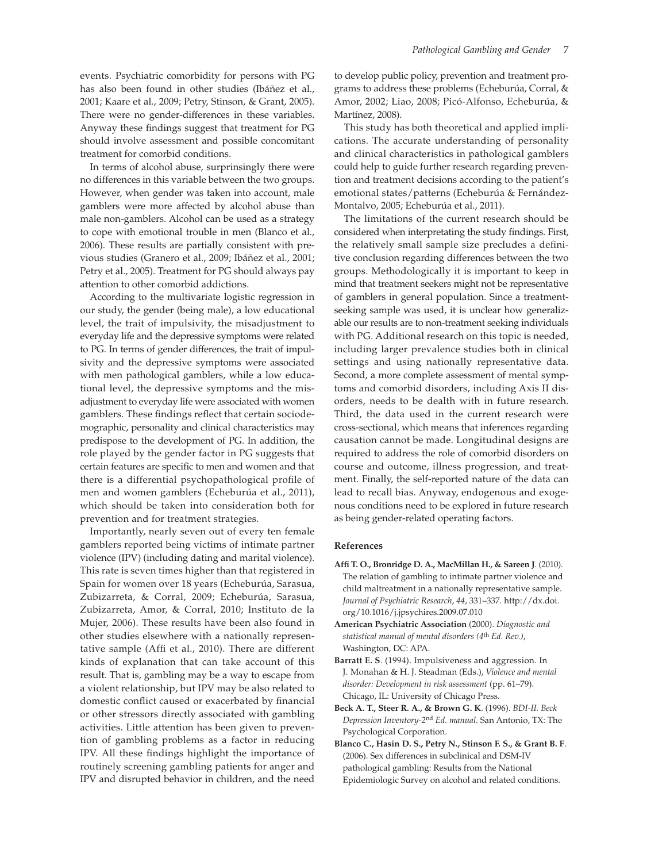events. Psychiatric comorbidity for persons with PG has also been found in other studies (Ibáñez et al., 2001; Kaare et al., 2009; Petry, Stinson, & Grant, 2005). There were no gender-differences in these variables. Anyway these findings suggest that treatment for PG should involve assessment and possible concomitant treatment for comorbid conditions.

In terms of alcohol abuse, surprinsingly there were no differences in this variable between the two groups. However, when gender was taken into account, male gamblers were more affected by alcohol abuse than male non-gamblers. Alcohol can be used as a strategy to cope with emotional trouble in men (Blanco et al., 2006). These results are partially consistent with previous studies (Granero et al., 2009; Ibáñez et al., 2001; Petry et al., 2005). Treatment for PG should always pay attention to other comorbid addictions.

According to the multivariate logistic regression in our study, the gender (being male), a low educational level, the trait of impulsivity, the misadjustment to everyday life and the depressive symptoms were related to PG. In terms of gender differences, the trait of impulsivity and the depressive symptoms were associated with men pathological gamblers, while a low educational level, the depressive symptoms and the misadjustment to everyday life were associated with women gamblers. These findings reflect that certain sociodemographic, personality and clinical characteristics may predispose to the development of PG. In addition, the role played by the gender factor in PG suggests that certain features are specific to men and women and that there is a differential psychopathological profile of men and women gamblers (Echeburúa et al., 2011), which should be taken into consideration both for prevention and for treatment strategies.

Importantly, nearly seven out of every ten female gamblers reported being victims of intimate partner violence (IPV) (including dating and marital violence). This rate is seven times higher than that registered in Spain for women over 18 years (Echeburúa, Sarasua, Zubizarreta, & Corral, 2009; Echeburúa, Sarasua, Zubizarreta, Amor, & Corral, 2010; Instituto de la Mujer, 2006). These results have been also found in other studies elsewhere with a nationally representative sample (Affi et al., 2010). There are different kinds of explanation that can take account of this result. That is, gambling may be a way to escape from a violent relationship, but IPV may be also related to domestic conflict caused or exacerbated by financial or other stressors directly associated with gambling activities. Little attention has been given to prevention of gambling problems as a factor in reducing IPV. All these findings highlight the importance of routinely screening gambling patients for anger and IPV and disrupted behavior in children, and the need to develop public policy, prevention and treatment programs to address these problems (Echeburúa, Corral, & Amor, 2002; Liao, 2008; Picó-Alfonso, Echeburúa, & Martínez, 2008).

This study has both theoretical and applied implications. The accurate understanding of personality and clinical characteristics in pathological gamblers could help to guide further research regarding prevention and treatment decisions according to the patient's emotional states/patterns (Echeburúa & Fernández-Montalvo, 2005; Echeburúa et al., 2011).

The limitations of the current research should be considered when interpretating the study findings. First, the relatively small sample size precludes a definitive conclusion regarding differences between the two groups. Methodologically it is important to keep in mind that treatment seekers might not be representative of gamblers in general population. Since a treatmentseeking sample was used, it is unclear how generalizable our results are to non-treatment seeking individuals with PG. Additional research on this topic is needed, including larger prevalence studies both in clinical settings and using nationally representative data. Second, a more complete assessment of mental symptoms and comorbid disorders, including Axis II disorders, needs to be dealth with in future research. Third, the data used in the current research were cross-sectional, which means that inferences regarding causation cannot be made. Longitudinal designs are required to address the role of comorbid disorders on course and outcome, illness progression, and treatment. Finally, the self-reported nature of the data can lead to recall bias. Anyway, endogenous and exogenous conditions need to be explored in future research as being gender-related operating factors.

#### **References**

- **Affi T. O., Bronridge D. A., MacMillan H., & Sareen J**. (2010). The relation of gambling to intimate partner violence and child maltreatment in a nationally representative sample. *Journal of Psychiatric Research*, *44*, 331–337. [http://dx.doi.](http://dx.doi.org/10.1016/j.jpsychires.2009.07.010) [org/10.1016/j.jpsychires.2009.07.010](http://dx.doi.org/10.1016/j.jpsychires.2009.07.010)
- **American Psychiatric Association** (2000). *Diagnostic and statistical manual of mental disorders (4*th *Ed. Rev.)*, Washington, DC: APA.
- **Barratt E. S**. (1994). Impulsiveness and aggression. In J. Monahan & H. J. Steadman (Eds.), *Violence and mental disorder: Development in risk assessment* (pp. 61–79). Chicago, IL: University of Chicago Press.
- **Beck A. T., Steer R. A., & Brown G. K**. (1996). *BDI-II. Beck Depression Inventory-2*nd *Ed. manual*. San Antonio, TX: The Psychological Corporation.
- **Blanco C., Hasin D. S., Petry N., Stinson F. S., & Grant B. F**. (2006). Sex differences in subclinical and DSM-IV pathological gambling: Results from the National Epidemiologic Survey on alcohol and related conditions.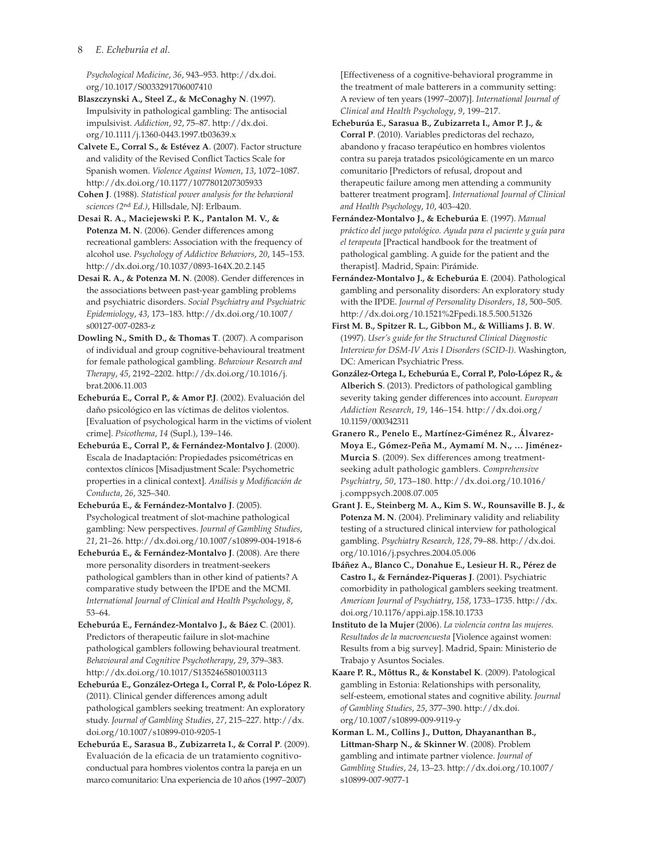*Psychological Medicine*, *36*, 943–953. [http://dx.doi.](http://dx.doi.org/10.1017/S0033291706007410) [org/10.1017/S0033291706007410](http://dx.doi.org/10.1017/S0033291706007410)

**Blaszczynski A., Steel Z., & McConaghy N**. (1997). Impulsivity in pathological gambling: The antisocial impulsivist. *Addiction*, *92*, 75–87. [http://dx.doi.](http://dx.doi.org/10.1111/j.1360-0443.1997.tb03639.x) [org/10.1111/j.1360-0443.1997.tb03639.x](http://dx.doi.org/10.1111/j.1360-0443.1997.tb03639.x)

**Calvete E., Corral S., & Estévez A**. (2007). Factor structure and validity of the Revised Conflict Tactics Scale for Spanish women. *Violence Against Women*, *13*, 1072–1087. <http://dx.doi.org/10.1177/1077801207305933>

**Cohen J**. (1988). *Statistical power analysis for the behavioral sciences (2*nd *Ed.)*, Hillsdale, NJ: Erlbaum.

**Desai R. A., Maciejewski P. K., Pantalon M. V., & Potenza M. N**. (2006). Gender differences among recreational gamblers: Association with the frequency of alcohol use. *Psychology of Addictive Behaviors*, *20*, 145–153. <http://dx.doi.org/10.1037/0893-164X.20.2.145>

**Desai R. A., & Potenza M. N**. (2008). Gender differences in the associations between past-year gambling problems and psychiatric disorders. *Social Psychiatry and Psychiatric Epidemiology*, *43*, 173–183. [http://dx.doi.org/10.1007/](http://dx.doi.org/10.1007/s00127-007-0283-z) [s00127-007-0283-z](http://dx.doi.org/10.1007/s00127-007-0283-z)

**Dowling N., Smith D., & Thomas T**. (2007). A comparison of individual and group cognitive-behavioural treatment for female pathological gambling. *Behaviour Research and Therapy*, *45*, 2192–2202. [http://dx.doi.org/10.1016/j.](http://dx.doi.org/10.1016/j.brat.2006.11.003) [brat.2006.11.003](http://dx.doi.org/10.1016/j.brat.2006.11.003)

**Echeburúa E., Corral P., & Amor P.J**. (2002). Evaluación del daño psicológico en las víctimas de delitos violentos. [Evaluation of psychological harm in the victims of violent crime]. *Psicothema*, *14* (Supl.), 139–146.

**Echeburúa E., Corral P., & Fernández-Montalvo J**. (2000). Escala de Inadaptación: Propiedades psicométricas en contextos clínicos [Misadjustment Scale: Psychometric properties in a clinical context]. *Análisis y Modificación de Conducta*, *26*, 325–340.

**Echeburúa E., & Fernández-Montalvo J**. (2005). Psychological treatment of slot-machine pathological gambling: New perspectives. *Journal of Gambling Studies*, *21*, 21–26. <http://dx.doi.org/10.1007/s10899-004-1918-6>

**Echeburúa E., & Fernández-Montalvo J**. (2008). Are there more personality disorders in treatment-seekers pathological gamblers than in other kind of patients? A comparative study between the IPDE and the MCMI. *International Journal of Clinical and Health Psychology*, *8*, 53–64.

**Echeburúa E., Fernández-Montalvo J., & Báez C**. (2001). Predictors of therapeutic failure in slot-machine pathological gamblers following behavioural treatment. *Behavioural and Cognitive Psychotherapy*, *29*, 379–383. <http://dx.doi.org/10.1017/S1352465801003113>

**Echeburúa E., González-Ortega I., Corral P., & Polo-López R**. (2011). Clinical gender differences among adult pathological gamblers seeking treatment: An exploratory study. *Journal of Gambling Studies*, *27*, 215–227. [http://dx.](http://dx.doi.org/10.1007/s10899-010-9205-1) [doi.org/10.1007/s10899-010-9205-1](http://dx.doi.org/10.1007/s10899-010-9205-1)

**Echeburúa E., Sarasua B., Zubizarreta I., & Corral P**. (2009). Evaluación de la eficacia de un tratamiento cognitivoconductual para hombres violentos contra la pareja en un marco comunitario: Una experiencia de 10 años (1997–2007)

[Effectiveness of a cognitive-behavioral programme in the treatment of male batterers in a community setting: A review of ten years (1997–2007)]. *International Journal of Clinical and Health Psychology*, *9*, 199–217.

**Echeburúa E., Sarasua B., Zubizarreta I., Amor P. J., & Corral P**. (2010). Variables predictoras del rechazo, abandono y fracaso terapéutico en hombres violentos contra su pareja tratados psicológicamente en un marco comunitario [Predictors of refusal, dropout and therapeutic failure among men attending a community batterer treatment program]. *International Journal of Clinical and Health Psychology*, *10*, 403–420.

**Fernández-Montalvo J., & Echeburúa E**. (1997). *Manual práctico del juego patológico. Ayuda para el paciente y guía para el terapeuta* [Practical handbook for the treatment of pathological gambling. A guide for the patient and the therapist]. Madrid, Spain: Pirámide.

**Fernández-Montalvo J., & Echeburúa E**. (2004). Pathological gambling and personality disorders: An exploratory study with the IPDE. *Journal of Personality Disorders*, *18*, 500–505. <http://dx.doi.org/10.1521%2Fpedi.18.5.500.51326>

**First M. B., Spitzer R. L., Gibbon M., & Williams J. B. W**. (1997). *User's guide for the Structured Clinical Diagnostic Interview for DSM-IV Axis I Disorders (SCID-I)*. Washington, DC: American Psychiatric Press.

**González-Ortega I., Echeburúa E., Corral P., Polo-López R., & Alberich S**. (2013). Predictors of pathological gambling severity taking gender differences into account. *European Addiction Research*, *19*, 146–154. [http://dx.doi.org/](http://dx.doi.org/10.1159/000342311) [10.1159/000342311](http://dx.doi.org/10.1159/000342311)

**Granero R., Penelo E., Martínez-Giménez R., Álvarez-Moya E., Gómez-Peña M., Aymamí M. N., … Jiménez-Murcia S**. (2009). Sex differences among treatmentseeking adult pathologic gamblers. *Comprehensive Psychiatry*, *50*, 173–180. [http://dx.doi.org/10.1016/](http://dx.doi.org/10.1016/j.comppsych.2008.07.005) [j.comppsych.2008.07.005](http://dx.doi.org/10.1016/j.comppsych.2008.07.005)

**Grant J. E., Steinberg M. A., Kim S. W., Rounsaville B. J., & Potenza M. N**. (2004). Preliminary validity and reliability testing of a structured clinical interview for pathological gambling. *Psychiatry Research*, *128*, 79–88. [http://dx.doi.](http://dx.doi.org/10.1016/j.psychres.2004.05.006) [org/10.1016/j.psychres.2004.05.006](http://dx.doi.org/10.1016/j.psychres.2004.05.006)

**Ibáñez A., Blanco C., Donahue E., Lesieur H. R., Pérez de Castro I., & Fernández-Piqueras J**. (2001). Psychiatric comorbidity in pathological gamblers seeking treatment. *American Journal of Psychiatry*, *158*, 1733–1735. [http://dx.](http://dx.doi.org/10.1176/appi.ajp.158.10.1733) [doi.org/10.1176/appi.ajp.158.10.1733](http://dx.doi.org/10.1176/appi.ajp.158.10.1733)

**Instituto de la Mujer** (2006). *La violencia contra las mujeres. Resultados de la macroencuesta* [Violence against women: Results from a big survey]. Madrid, Spain: Ministerio de Trabajo y Asuntos Sociales.

**Kaare P. R., Mõttus R., & Konstabel K**. (2009). Patological gambling in Estonia: Relationships with personality, self-esteem, emotional states and cognitive ability. *Journal of Gambling Studies*, *25*, 377–390. [http://dx.doi.](http://dx.doi.org/10.1007/s10899-009-9119-y) [org/10.1007/s10899-009-9119-y](http://dx.doi.org/10.1007/s10899-009-9119-y)

**Korman L. M., Collins J., Dutton, Dhayananthan B., Littman-Sharp N., & Skinner W**. (2008). Problem gambling and intimate partner violence. *Journal of Gambling Studies*, *24*, 13–23. [http://dx.doi.org/10.1007/](http://dx.doi.org/10.1007/s10899-007-9077-1) [s10899-007-9077-1](http://dx.doi.org/10.1007/s10899-007-9077-1)